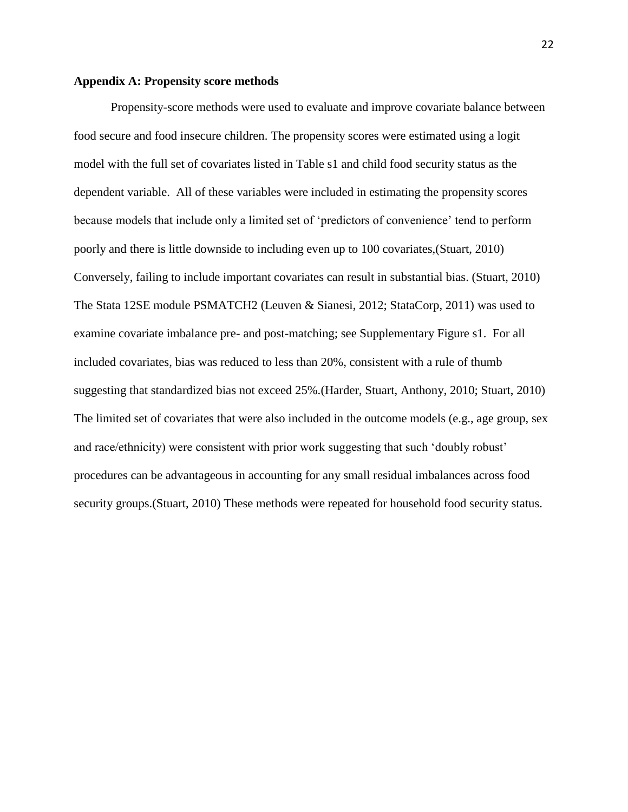## **Appendix A: Propensity score methods**

Propensity-score methods were used to evaluate and improve covariate balance between food secure and food insecure children. The propensity scores were estimated using a logit model with the full set of covariates listed in Table s1 and child food security status as the dependent variable. All of these variables were included in estimating the propensity scores because models that include only a limited set of 'predictors of convenience' tend to perform poorly and there is little downside to including even up to 100 covariates,(Stuart, 2010) Conversely, failing to include important covariates can result in substantial bias. (Stuart, 2010) The Stata 12SE module PSMATCH2 (Leuven & Sianesi, 2012; StataCorp, 2011) was used to examine covariate imbalance pre- and post-matching; see Supplementary Figure s1. For all included covariates, bias was reduced to less than 20%, consistent with a rule of thumb suggesting that standardized bias not exceed 25%.(Harder, Stuart, Anthony, 2010; Stuart, 2010) The limited set of covariates that were also included in the outcome models (e.g., age group, sex and race/ethnicity) were consistent with prior work suggesting that such 'doubly robust' procedures can be advantageous in accounting for any small residual imbalances across food security groups.(Stuart, 2010) These methods were repeated for household food security status.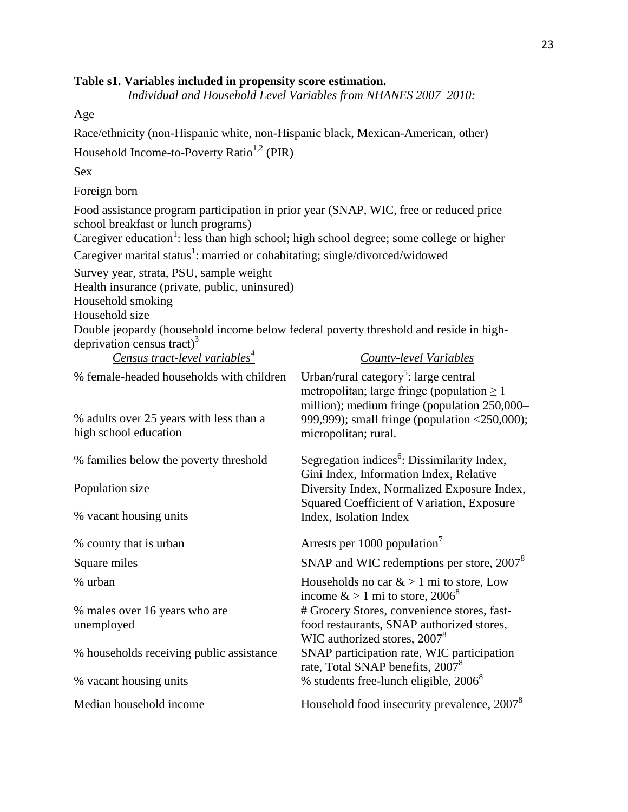| Table s1. Variables included in propensity score estimation. |  |
|--------------------------------------------------------------|--|
|--------------------------------------------------------------|--|

| Individual and Household Level Variables from NHANES 2007-2010:                                                                                                                                                                      |                                                                                                                                                                                                                               |  |  |  |
|--------------------------------------------------------------------------------------------------------------------------------------------------------------------------------------------------------------------------------------|-------------------------------------------------------------------------------------------------------------------------------------------------------------------------------------------------------------------------------|--|--|--|
| Age                                                                                                                                                                                                                                  |                                                                                                                                                                                                                               |  |  |  |
| Race/ethnicity (non-Hispanic white, non-Hispanic black, Mexican-American, other)                                                                                                                                                     |                                                                                                                                                                                                                               |  |  |  |
| Household Income-to-Poverty Ratio <sup>1,2</sup> (PIR)                                                                                                                                                                               |                                                                                                                                                                                                                               |  |  |  |
| Sex                                                                                                                                                                                                                                  |                                                                                                                                                                                                                               |  |  |  |
| Foreign born                                                                                                                                                                                                                         |                                                                                                                                                                                                                               |  |  |  |
| Food assistance program participation in prior year (SNAP, WIC, free or reduced price<br>school breakfast or lunch programs)<br>Caregiver education <sup>1</sup> : less than high school; high school degree; some college or higher |                                                                                                                                                                                                                               |  |  |  |
| Caregiver marital status <sup>1</sup> : married or cohabitating; single/divorced/widowed                                                                                                                                             |                                                                                                                                                                                                                               |  |  |  |
| Survey year, strata, PSU, sample weight<br>Health insurance (private, public, uninsured)<br>Household smoking<br>Household size<br>Double jeopardy (household income below federal poverty threshold and reside in high-             |                                                                                                                                                                                                                               |  |  |  |
| deprivation census tract) <sup>3</sup><br><u>Census tract-level variables<sup>4</sup></u>                                                                                                                                            | <b>County-level Variables</b>                                                                                                                                                                                                 |  |  |  |
| % female-headed households with children<br>% adults over 25 years with less than a<br>high school education                                                                                                                         | Urban/rural category <sup>5</sup> : large central<br>metropolitan; large fringe (population $\geq 1$<br>million); medium fringe (population 250,000-<br>999,999); small fringe (population <250,000);<br>micropolitan; rural. |  |  |  |
|                                                                                                                                                                                                                                      |                                                                                                                                                                                                                               |  |  |  |
| % families below the poverty threshold                                                                                                                                                                                               | Segregation indices <sup>6</sup> : Dissimilarity Index,                                                                                                                                                                       |  |  |  |
| Population size                                                                                                                                                                                                                      | Gini Index, Information Index, Relative<br>Diversity Index, Normalized Exposure Index,<br>Squared Coefficient of Variation, Exposure                                                                                          |  |  |  |
| % vacant housing units                                                                                                                                                                                                               | Index, Isolation Index                                                                                                                                                                                                        |  |  |  |
| % county that is urban                                                                                                                                                                                                               | Arrests per 1000 population <sup>7</sup>                                                                                                                                                                                      |  |  |  |
| Square miles                                                                                                                                                                                                                         | SNAP and WIC redemptions per store, 2007 <sup>8</sup>                                                                                                                                                                         |  |  |  |
| % urban                                                                                                                                                                                                                              | Households no car $\&$ > 1 mi to store, Low                                                                                                                                                                                   |  |  |  |
| % males over 16 years who are<br>unemployed                                                                                                                                                                                          | income $> 1$ mi to store, 2006 <sup>8</sup><br># Grocery Stores, convenience stores, fast-<br>food restaurants, SNAP authorized stores,<br>WIC authorized stores, 2007 <sup>8</sup>                                           |  |  |  |
| % households receiving public assistance                                                                                                                                                                                             | SNAP participation rate, WIC participation<br>rate, Total SNAP benefits, 2007 <sup>8</sup>                                                                                                                                    |  |  |  |
| % students free-lunch eligible, 2006 <sup>8</sup><br>% vacant housing units                                                                                                                                                          |                                                                                                                                                                                                                               |  |  |  |
| Median household income                                                                                                                                                                                                              | Household food insecurity prevalence, 2007 <sup>8</sup>                                                                                                                                                                       |  |  |  |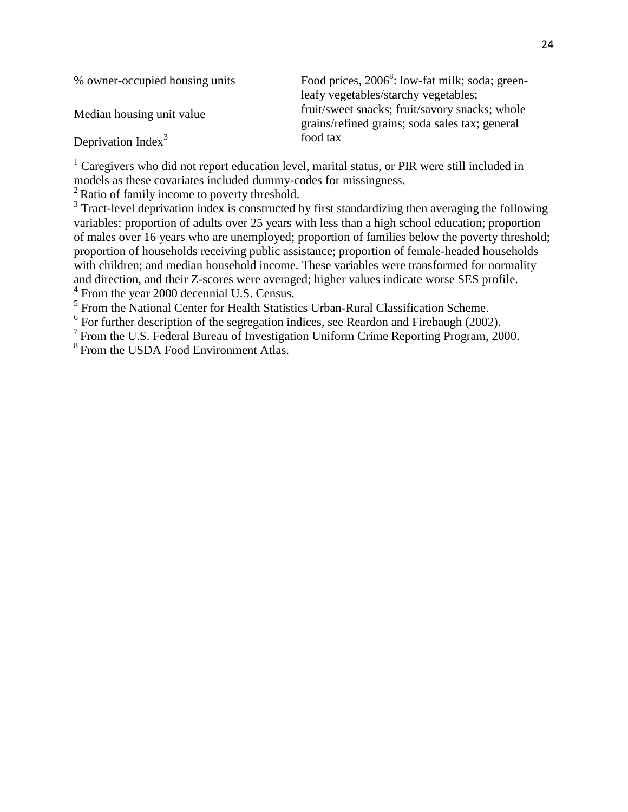| % owner-occupied housing units | Food prices, 2006 <sup>8</sup> : low-fat milk; soda; green-<br>leafy vegetables/starchy vegetables; |
|--------------------------------|-----------------------------------------------------------------------------------------------------|
| Median housing unit value      | fruit/sweet snacks; fruit/savory snacks; whole<br>grains/refined grains; soda sales tax; general    |
| Deprivation Index $3$          | food tax                                                                                            |

<sup>1</sup> Caregivers who did not report education level, marital status, or PIR were still included in models as these covariates included dummy-codes for missingness.

 $2R$ atio of family income to poverty threshold.

<sup>3</sup> Tract-level deprivation index is constructed by first standardizing then averaging the following variables: proportion of adults over 25 years with less than a high school education; proportion of males over 16 years who are unemployed; proportion of families below the poverty threshold; proportion of households receiving public assistance; proportion of female-headed households with children; and median household income. These variables were transformed for normality and direction, and their Z-scores were averaged; higher values indicate worse SES profile. <sup>4</sup> From the year 2000 decennial U.S. Census.

<sup>5</sup> From the National Center for Health Statistics Urban-Rural Classification Scheme.

 $6$  For further description of the segregation indices, see Reardon and Firebaugh (2002).

<sup>7</sup> From the U.S. Federal Bureau of Investigation Uniform Crime Reporting Program, 2000.

<sup>8</sup> From the USDA Food Environment Atlas.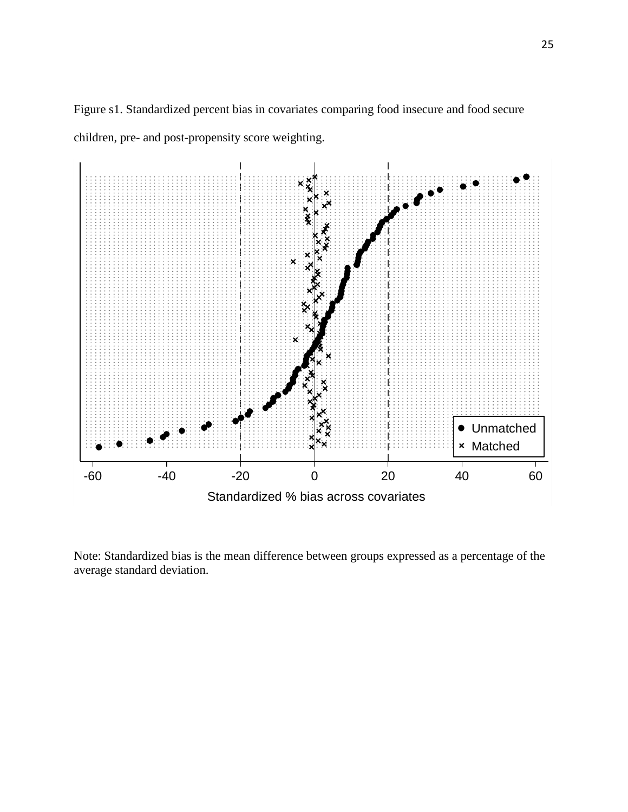

Figure s1. Standardized percent bias in covariates comparing food insecure and food secure children, pre- and post-propensity score weighting.

Note: Standardized bias is the mean difference between groups expressed as a percentage of the average standard deviation.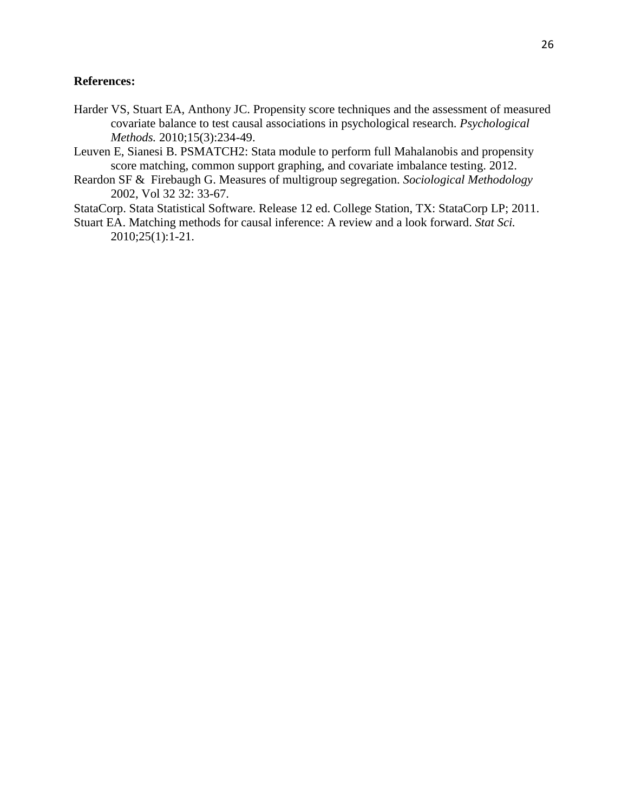## **References:**

- Harder VS, Stuart EA, Anthony JC. Propensity score techniques and the assessment of measured covariate balance to test causal associations in psychological research. *Psychological Methods.* 2010;15(3):234-49.
- Leuven E, Sianesi B. PSMATCH2: Stata module to perform full Mahalanobis and propensity score matching, common support graphing, and covariate imbalance testing. 2012.
- Reardon SF & Firebaugh G. Measures of multigroup segregation. *Sociological Methodology* 2002, Vol 32 32: 33-67.
- StataCorp. Stata Statistical Software. Release 12 ed. College Station, TX: StataCorp LP; 2011.
- Stuart EA. Matching methods for causal inference: A review and a look forward. *Stat Sci.* 2010;25(1):1-21.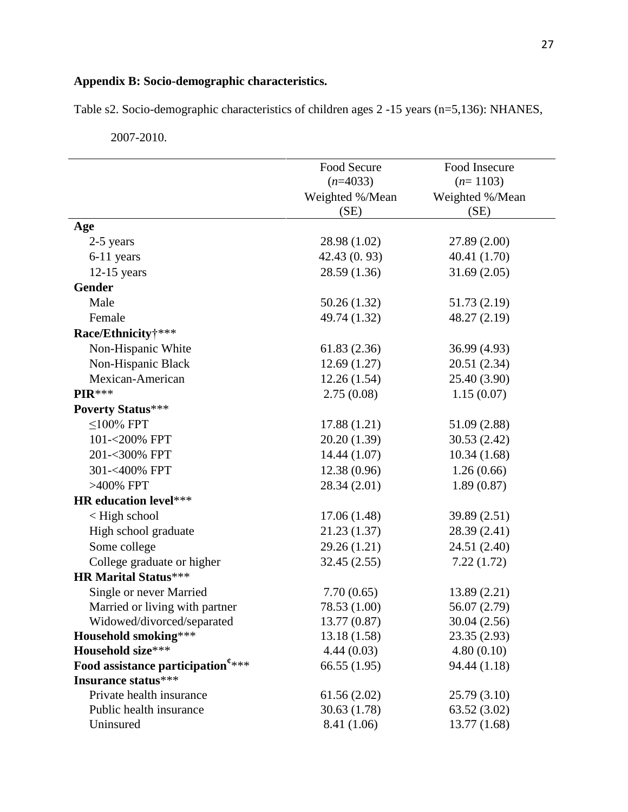## **Appendix B: Socio-demographic characteristics.**

Table s2. Socio-demographic characteristics of children ages 2 -15 years (n=5,136): NHANES,

|                                                | Food Secure     | Food Insecure   |  |
|------------------------------------------------|-----------------|-----------------|--|
|                                                | $(n=4033)$      | $(n=1103)$      |  |
|                                                | Weighted %/Mean | Weighted %/Mean |  |
|                                                | (SE)            | (SE)            |  |
| Age                                            |                 |                 |  |
| 2-5 years                                      | 28.98 (1.02)    | 27.89 (2.00)    |  |
| 6-11 years                                     | 42.43(0.93)     | 40.41 (1.70)    |  |
| $12-15$ years                                  | 28.59 (1.36)    | 31.69(2.05)     |  |
| <b>Gender</b>                                  |                 |                 |  |
| Male                                           | 50.26 (1.32)    | 51.73 (2.19)    |  |
| Female                                         | 49.74 (1.32)    | 48.27 (2.19)    |  |
| Race/Ethnicity†***                             |                 |                 |  |
| Non-Hispanic White                             | 61.83 (2.36)    | 36.99 (4.93)    |  |
| Non-Hispanic Black                             | 12.69(1.27)     | 20.51 (2.34)    |  |
| Mexican-American                               | 12.26(1.54)     | 25.40 (3.90)    |  |
| PIR***                                         | 2.75(0.08)      | 1.15(0.07)      |  |
| <b>Poverty Status***</b>                       |                 |                 |  |
| $\leq$ 100% FPT                                | 17.88 (1.21)    | 51.09 (2.88)    |  |
| 101-<200% FPT                                  | 20.20 (1.39)    | 30.53 (2.42)    |  |
| 201-<300% FPT                                  | 14.44 (1.07)    | 10.34(1.68)     |  |
| 301-<400% FPT                                  | 12.38(0.96)     | 1.26(0.66)      |  |
| >400% FPT                                      | 28.34 (2.01)    | 1.89(0.87)      |  |
| <b>HR</b> education level***                   |                 |                 |  |
| < High school                                  | 17.06(1.48)     | 39.89 (2.51)    |  |
| High school graduate                           | 21.23 (1.37)    | 28.39 (2.41)    |  |
| Some college                                   | 29.26 (1.21)    | 24.51 (2.40)    |  |
| College graduate or higher                     | 32.45(2.55)     | 7.22(1.72)      |  |
| <b>HR Marital Status***</b>                    |                 |                 |  |
| Single or never Married                        | 7.70(0.65)      | 13.89 (2.21)    |  |
| Married or living with partner                 | 78.53 (1.00)    | 56.07 (2.79)    |  |
| Widowed/divorced/separated                     | 13.77 (0.87)    | 30.04 (2.56)    |  |
| <b>Household smoking</b> ***                   | 13.18(1.58)     | 23.35 (2.93)    |  |
| Household size***                              | 4.44(0.03)      | 4.80(0.10)      |  |
| Food assistance participation <sup>e****</sup> | 66.55(1.95)     | 94.44 (1.18)    |  |
| Insurance status***                            |                 |                 |  |
| Private health insurance                       | 61.56(2.02)     | 25.79 (3.10)    |  |
| Public health insurance                        | 30.63(1.78)     | 63.52 (3.02)    |  |
| Uninsured                                      | 8.41 (1.06)     | 13.77(1.68)     |  |

2007-2010.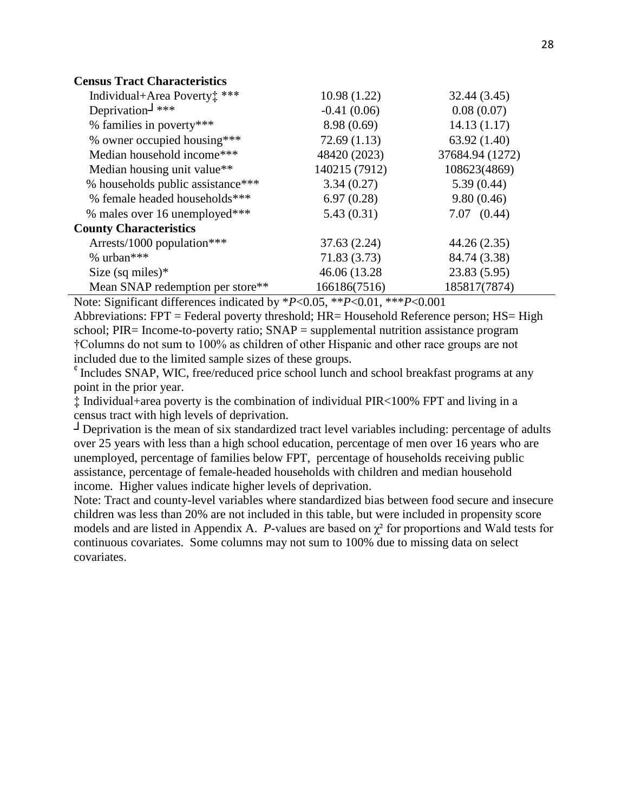| <b>Census Tract Characteristics</b> |
|-------------------------------------|
|-------------------------------------|

| Individual+Area Poverty: ***      | 10.98(1.22)   | 32.44 (3.45)    |
|-----------------------------------|---------------|-----------------|
| Deprivation- $\frac{1}{2}$ ***    | $-0.41(0.06)$ | 0.08(0.07)      |
| % families in poverty***          | 8.98(0.69)    | 14.13(1.17)     |
| % owner occupied housing***       | 72.69(1.13)   | 63.92(1.40)     |
| Median household income***        | 48420 (2023)  | 37684.94 (1272) |
| Median housing unit value**       | 140215 (7912) | 108623(4869)    |
| % households public assistance*** | 3.34(0.27)    | 5.39(0.44)      |
| % female headed households***     | 6.97(0.28)    | 9.80(0.46)      |
| % males over 16 unemployed***     | 5.43(0.31)    | $7.07$ $(0.44)$ |
| <b>County Characteristics</b>     |               |                 |
| Arrests/1000 population***        | 37.63(2.24)   | 44.26 (2.35)    |
| % urban***                        | 71.83 (3.73)  | 84.74 (3.38)    |
| Size (sq miles) $*$               | 46.06 (13.28) | 23.83 (5.95)    |
| Mean SNAP redemption per store**  | 166186(7516)  | 185817(7874)    |

Note: Significant differences indicated by \**P*<0.05, \*\**P*<0.01, \*\*\**P*<0.001

Abbreviations: FPT = Federal poverty threshold; HR= Household Reference person; HS= High school; PIR= Income-to-poverty ratio; SNAP = supplemental nutrition assistance program †Columns do not sum to 100% as children of other Hispanic and other race groups are not included due to the limited sample sizes of these groups.

 $\ell$  Includes SNAP, WIC, free/reduced price school lunch and school breakfast programs at any point in the prior year.

‡ Individual+area poverty is the combination of individual PIR<100% FPT and living in a census tract with high levels of deprivation.

**┘**Deprivation is the mean of six standardized tract level variables including: percentage of adults over 25 years with less than a high school education, percentage of men over 16 years who are unemployed, percentage of families below FPT, percentage of households receiving public assistance, percentage of female-headed households with children and median household income. Higher values indicate higher levels of deprivation.

Note: Tract and county-level variables where standardized bias between food secure and insecure children was less than 20% are not included in this table, but were included in propensity score models and are listed in Appendix A. *P*-values are based on  $\chi^2$  for proportions and Wald tests for continuous covariates. Some columns may not sum to 100% due to missing data on select covariates.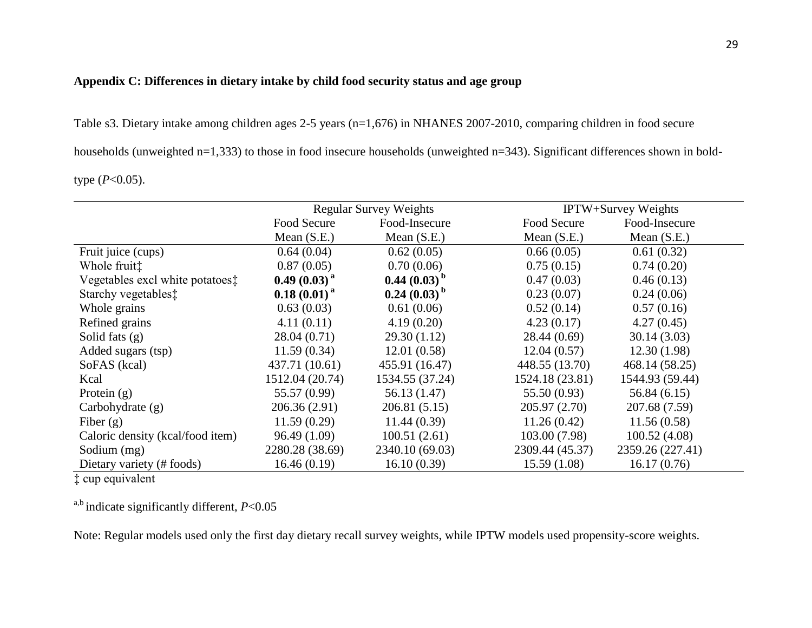## **Appendix C: Differences in dietary intake by child food security status and age group**

Table s3. Dietary intake among children ages 2-5 years (n=1,676) in NHANES 2007-2010, comparing children in food secure

households (unweighted n=1,333) to those in food insecure households (unweighted n=343). Significant differences shown in bold-

type (*P*<0.05).

|                                  | <b>Regular Survey Weights</b> |                  |                 | <b>IPTW+Survey Weights</b> |  |
|----------------------------------|-------------------------------|------------------|-----------------|----------------------------|--|
|                                  | Food Secure                   | Food-Insecure    | Food Secure     | Food-Insecure              |  |
|                                  | Mean $(S.E.)$                 | Mean $(S.E.)$    | Mean $(S.E.)$   | Mean $(S.E.)$              |  |
| Fruit juice (cups)               | 0.64(0.04)                    | 0.62(0.05)       | 0.66(0.05)      | 0.61(0.32)                 |  |
| Whole fruit <sup>†</sup>         | 0.87(0.05)                    | 0.70(0.06)       | 0.75(0.15)      | 0.74(0.20)                 |  |
| Vegetables excl white potatoes:  | $0.49(0.03)^{a}$              | $0.44(0.03)^{b}$ | 0.47(0.03)      | 0.46(0.13)                 |  |
| Starchy vegetables <sup>†</sup>  | $0.18(0.01)^{a}$              | $0.24(0.03)^{b}$ | 0.23(0.07)      | 0.24(0.06)                 |  |
| Whole grains                     | 0.63(0.03)                    | 0.61(0.06)       | 0.52(0.14)      | 0.57(0.16)                 |  |
| Refined grains                   | 4.11(0.11)                    | 4.19(0.20)       | 4.23(0.17)      | 4.27(0.45)                 |  |
| Solid fats $(g)$                 | 28.04(0.71)                   | 29.30(1.12)      | 28.44(0.69)     | 30.14(3.03)                |  |
| Added sugars (tsp)               | 11.59(0.34)                   | 12.01(0.58)      | 12.04(0.57)     | 12.30(1.98)                |  |
| SoFAS (kcal)                     | 437.71 (10.61)                | 455.91 (16.47)   | 448.55 (13.70)  | 468.14 (58.25)             |  |
| Kcal                             | 1512.04 (20.74)               | 1534.55 (37.24)  | 1524.18 (23.81) | 1544.93 (59.44)            |  |
| Protein $(g)$                    | 55.57 (0.99)                  | 56.13 (1.47)     | 55.50 (0.93)    | 56.84 (6.15)               |  |
| Carbohydrate $(g)$               | 206.36 (2.91)                 | 206.81(5.15)     | 205.97 (2.70)   | 207.68 (7.59)              |  |
| Fiber $(g)$                      | 11.59(0.29)                   | 11.44(0.39)      | 11.26(0.42)     | 11.56(0.58)                |  |
| Caloric density (kcal/food item) | 96.49 (1.09)                  | 100.51(2.61)     | 103.00 (7.98)   | 100.52(4.08)               |  |
| Sodium (mg)                      | 2280.28 (38.69)               | 2340.10 (69.03)  | 2309.44 (45.37) | 2359.26 (227.41)           |  |
| Dietary variety (# foods)        | 16.46(0.19)                   | 16.10(0.39)      | 15.59(1.08)     | 16.17(0.76)                |  |

‡ cup equivalent

a,b indicate significantly different, *P*<0.05

Note: Regular models used only the first day dietary recall survey weights, while IPTW models used propensity-score weights.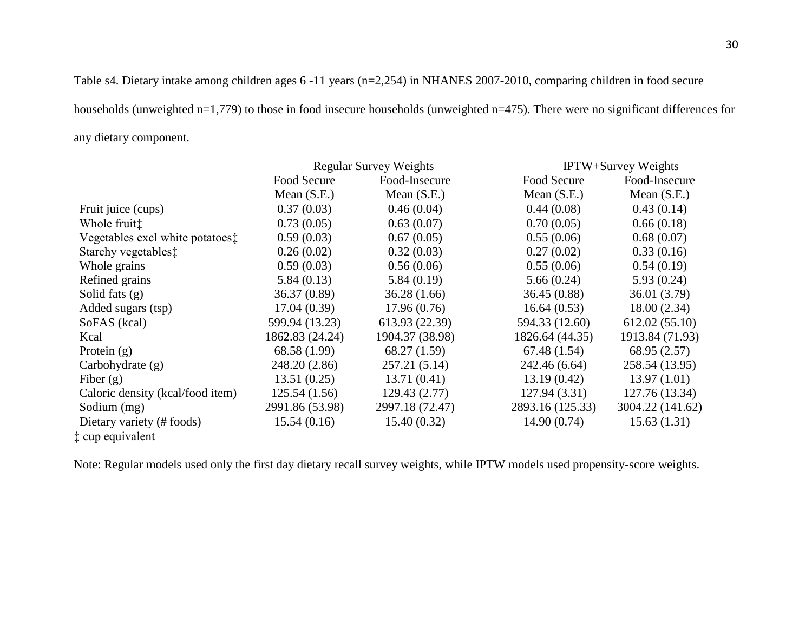Table s4. Dietary intake among children ages 6 -11 years (n=2,254) in NHANES 2007-2010, comparing children in food secure households (unweighted n=1,779) to those in food insecure households (unweighted n=475). There were no significant differences for any dietary component.

|                                  | <b>Regular Survey Weights</b> |                 |                  | <b>IPTW+Survey Weights</b> |
|----------------------------------|-------------------------------|-----------------|------------------|----------------------------|
|                                  | Food Secure                   | Food-Insecure   | Food Secure      | Food-Insecure              |
|                                  | Mean $(S.E.)$                 | Mean $(S.E.)$   | Mean $(S.E.)$    | Mean $(S.E.)$              |
| Fruit juice (cups)               | 0.37(0.03)                    | 0.46(0.04)      | 0.44(0.08)       | 0.43(0.14)                 |
| Whole fruit <sup>†</sup>         | 0.73(0.05)                    | 0.63(0.07)      | 0.70(0.05)       | 0.66(0.18)                 |
| Vegetables excl white potatoes:  | 0.59(0.03)                    | 0.67(0.05)      | 0.55(0.06)       | 0.68(0.07)                 |
| Starchy vegetables <sup>†</sup>  | 0.26(0.02)                    | 0.32(0.03)      | 0.27(0.02)       | 0.33(0.16)                 |
| Whole grains                     | 0.59(0.03)                    | 0.56(0.06)      | 0.55(0.06)       | 0.54(0.19)                 |
| Refined grains                   | 5.84(0.13)                    | 5.84(0.19)      | 5.66(0.24)       | 5.93(0.24)                 |
| Solid fats $(g)$                 | 36.37(0.89)                   | 36.28(1.66)     | 36.45(0.88)      | 36.01(3.79)                |
| Added sugars (tsp)               | 17.04(0.39)                   | 17.96(0.76)     | 16.64(0.53)      | 18.00(2.34)                |
| SoFAS (kcal)                     | 599.94 (13.23)                | 613.93 (22.39)  | 594.33 (12.60)   | 612.02(55.10)              |
| Kcal                             | 1862.83 (24.24)               | 1904.37 (38.98) | 1826.64 (44.35)  | 1913.84 (71.93)            |
| Protein $(g)$                    | 68.58 (1.99)                  | 68.27 (1.59)    | 67.48(1.54)      | 68.95 (2.57)               |
| Carbohydrate (g)                 | 248.20 (2.86)                 | 257.21(5.14)    | 242.46 (6.64)    | 258.54 (13.95)             |
| Fiber $(g)$                      | 13.51(0.25)                   | 13.71(0.41)     | 13.19(0.42)      | 13.97(1.01)                |
| Caloric density (kcal/food item) | 125.54(1.56)                  | 129.43(2.77)    | 127.94(3.31)     | 127.76 (13.34)             |
| Sodium (mg)                      | 2991.86 (53.98)               | 2997.18 (72.47) | 2893.16 (125.33) | 3004.22 (141.62)           |
| Dietary variety (# foods)        | 15.54(0.16)                   | 15.40(0.32)     | 14.90(0.74)      | 15.63(1.31)                |

‡ cup equivalent

Note: Regular models used only the first day dietary recall survey weights, while IPTW models used propensity-score weights.